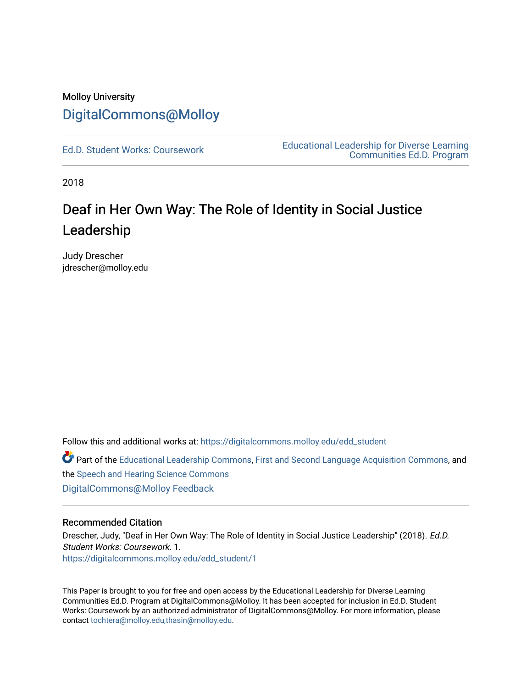# Molloy University [DigitalCommons@Molloy](https://digitalcommons.molloy.edu/)

[Ed.D. Student Works: Coursework](https://digitalcommons.molloy.edu/edd_student) [Educational Leadership for Diverse Learning](https://digitalcommons.molloy.edu/edd)  [Communities Ed.D. Program](https://digitalcommons.molloy.edu/edd) 

2018

# Deaf in Her Own Way: The Role of Identity in Social Justice Leadership

Judy Drescher jdrescher@molloy.edu

Follow this and additional works at: [https://digitalcommons.molloy.edu/edd\\_student](https://digitalcommons.molloy.edu/edd_student?utm_source=digitalcommons.molloy.edu%2Fedd_student%2F1&utm_medium=PDF&utm_campaign=PDFCoverPages) 

Part of the [Educational Leadership Commons,](https://network.bepress.com/hgg/discipline/1230?utm_source=digitalcommons.molloy.edu%2Fedd_student%2F1&utm_medium=PDF&utm_campaign=PDFCoverPages) [First and Second Language Acquisition Commons,](https://network.bepress.com/hgg/discipline/377?utm_source=digitalcommons.molloy.edu%2Fedd_student%2F1&utm_medium=PDF&utm_campaign=PDFCoverPages) and the [Speech and Hearing Science Commons](https://network.bepress.com/hgg/discipline/1033?utm_source=digitalcommons.molloy.edu%2Fedd_student%2F1&utm_medium=PDF&utm_campaign=PDFCoverPages)  [DigitalCommons@Molloy Feedback](https://molloy.libwizard.com/f/dcfeedback)

# Recommended Citation

Drescher, Judy, "Deaf in Her Own Way: The Role of Identity in Social Justice Leadership" (2018). Ed.D. Student Works: Coursework. 1. [https://digitalcommons.molloy.edu/edd\\_student/1](https://digitalcommons.molloy.edu/edd_student/1?utm_source=digitalcommons.molloy.edu%2Fedd_student%2F1&utm_medium=PDF&utm_campaign=PDFCoverPages) 

This Paper is brought to you for free and open access by the Educational Leadership for Diverse Learning Communities Ed.D. Program at DigitalCommons@Molloy. It has been accepted for inclusion in Ed.D. Student Works: Coursework by an authorized administrator of DigitalCommons@Molloy. For more information, please contact [tochtera@molloy.edu,thasin@molloy.edu.](mailto:tochtera@molloy.edu,thasin@molloy.edu)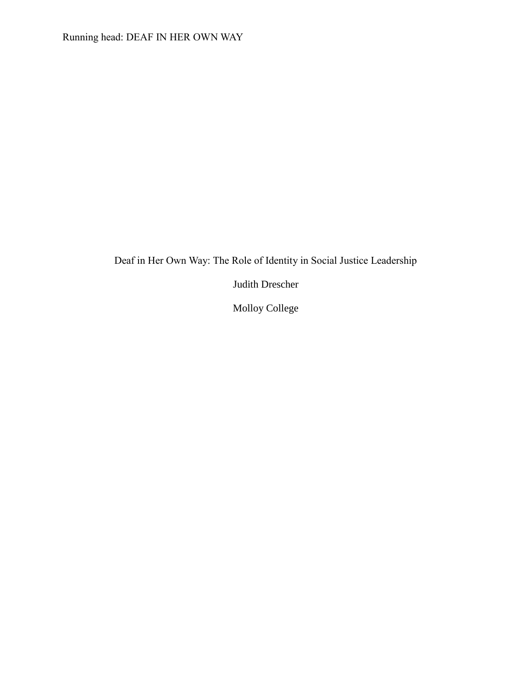# Deaf in Her Own Way: The Role of Identity in Social Justice Leadership

Judith Drescher

Molloy College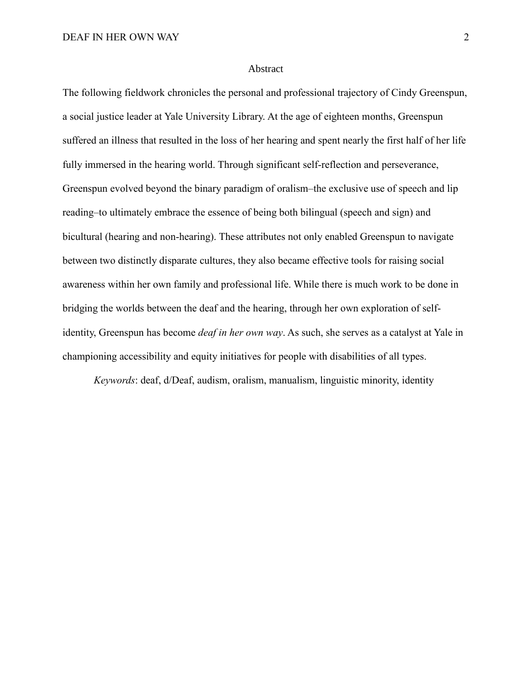#### Abstract

The following fieldwork chronicles the personal and professional trajectory of Cindy Greenspun, a social justice leader at Yale University Library. At the age of eighteen months, Greenspun suffered an illness that resulted in the loss of her hearing and spent nearly the first half of her life fully immersed in the hearing world. Through significant self-reflection and perseverance, Greenspun evolved beyond the binary paradigm of oralism–the exclusive use of speech and lip reading–to ultimately embrace the essence of being both bilingual (speech and sign) and bicultural (hearing and non-hearing). These attributes not only enabled Greenspun to navigate between two distinctly disparate cultures, they also became effective tools for raising social awareness within her own family and professional life. While there is much work to be done in bridging the worlds between the deaf and the hearing, through her own exploration of selfidentity, Greenspun has become *deaf in her own way*. As such, she serves as a catalyst at Yale in championing accessibility and equity initiatives for people with disabilities of all types.

*Keywords*: deaf, d/Deaf, audism, oralism, manualism, linguistic minority, identity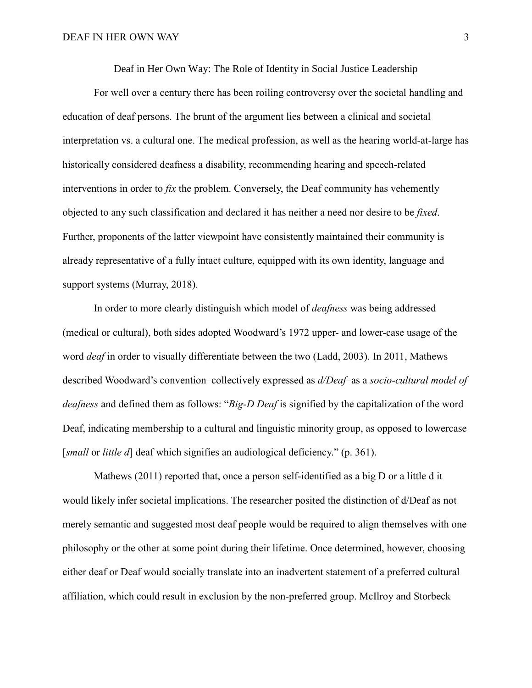Deaf in Her Own Way: The Role of Identity in Social Justice Leadership

For well over a century there has been roiling controversy over the societal handling and education of deaf persons. The brunt of the argument lies between a clinical and societal interpretation vs. a cultural one. The medical profession, as well as the hearing world-at-large has historically considered deafness a disability, recommending hearing and speech-related interventions in order to *fix* the problem. Conversely, the Deaf community has vehemently objected to any such classification and declared it has neither a need nor desire to be *fixed*. Further, proponents of the latter viewpoint have consistently maintained their community is already representative of a fully intact culture, equipped with its own identity, language and support systems (Murray, 2018).

In order to more clearly distinguish which model of *deafness* was being addressed (medical or cultural), both sides adopted Woodward's 1972 upper- and lower-case usage of the word *deaf* in order to visually differentiate between the two (Ladd, 2003). In 2011, Mathews described Woodward's convention–collectively expressed as *d/Deaf*–as a *socio-cultural model of deafness* and defined them as follows: "*Big-D Deaf* is signified by the capitalization of the word Deaf, indicating membership to a cultural and linguistic minority group, as opposed to lowercase [*small* or *little d*] deaf which signifies an audiological deficiency." (p. 361).

Mathews (2011) reported that, once a person self-identified as a big D or a little d it would likely infer societal implications. The researcher posited the distinction of d/Deaf as not merely semantic and suggested most deaf people would be required to align themselves with one philosophy or the other at some point during their lifetime. Once determined, however, choosing either deaf or Deaf would socially translate into an inadvertent statement of a preferred cultural affiliation, which could result in exclusion by the non-preferred group. McIlroy and Storbeck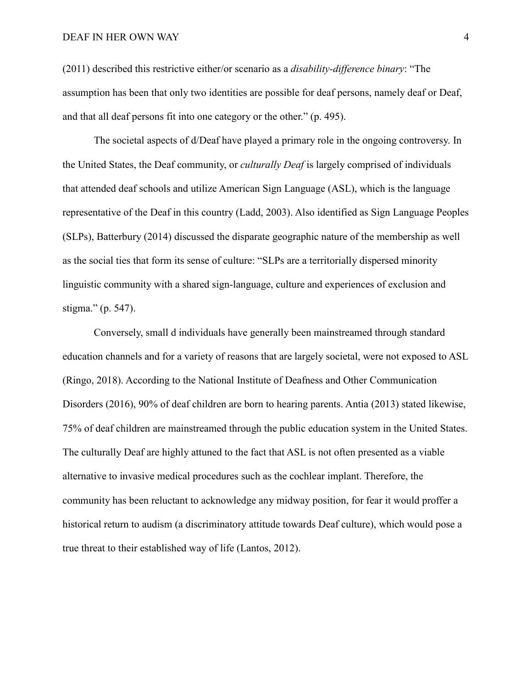### DEAF IN HER OWN WAY 4

(2011) described this restrictive either/or scenario as a *disability-difference binary*: "The assumption has been that only two identities are possible for deaf persons, namely deaf or Deaf, and that all deaf persons fit into one category or the other." (p. 495).

The societal aspects of d/Deaf have played a primary role in the ongoing controversy. In the United States, the Deaf community, or *culturally Deaf* is largely comprised of individuals that attended deaf schools and utilize American Sign Language (ASL), which is the language representative of the Deaf in this country (Ladd, 2003). Also identified as Sign Language Peoples (SLPs), Batterbury (2014) discussed the disparate geographic nature of the membership as well as the social ties that form its sense of culture: "SLPs are a territorially dispersed minority linguistic community with a shared sign-language, culture and experiences of exclusion and stigma." (p. 547).

Conversely, small d individuals have generally been mainstreamed through standard education channels and for a variety of reasons that are largely societal, were not exposed to ASL (Ringo, 2018). According to the National Institute of Deafness and Other Communication Disorders (2016), 90% of deaf children are born to hearing parents. Antia (2013) stated likewise, 75% of deaf children are mainstreamed through the public education system in the United States. The culturally Deaf are highly attuned to the fact that ASL is not often presented as a viable alternative to invasive medical procedures such as the cochlear implant. Therefore, the community has been reluctant to acknowledge any midway position, for fear it would proffer a historical return to audism (a discriminatory attitude towards Deaf culture), which would pose a true threat to their established way of life (Lantos, 2012).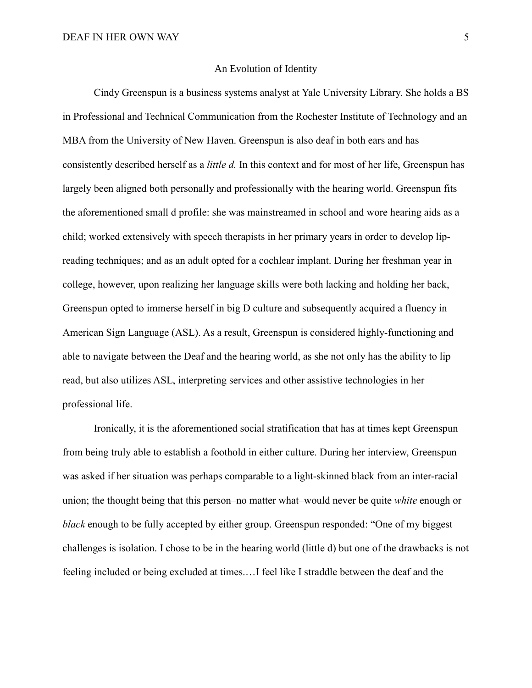# An Evolution of Identity

Cindy Greenspun is a business systems analyst at Yale University Library. She holds a BS in Professional and Technical Communication from the Rochester Institute of Technology and an MBA from the University of New Haven. Greenspun is also deaf in both ears and has consistently described herself as a *little d.* In this context and for most of her life, Greenspun has largely been aligned both personally and professionally with the hearing world. Greenspun fits the aforementioned small d profile: she was mainstreamed in school and wore hearing aids as a child; worked extensively with speech therapists in her primary years in order to develop lipreading techniques; and as an adult opted for a cochlear implant. During her freshman year in college, however, upon realizing her language skills were both lacking and holding her back, Greenspun opted to immerse herself in big D culture and subsequently acquired a fluency in American Sign Language (ASL). As a result, Greenspun is considered highly-functioning and able to navigate between the Deaf and the hearing world, as she not only has the ability to lip read, but also utilizes ASL, interpreting services and other assistive technologies in her professional life.

Ironically, it is the aforementioned social stratification that has at times kept Greenspun from being truly able to establish a foothold in either culture. During her interview, Greenspun was asked if her situation was perhaps comparable to a light-skinned black from an inter-racial union; the thought being that this person–no matter what–would never be quite *white* enough or *black* enough to be fully accepted by either group. Greenspun responded: "One of my biggest challenges is isolation. I chose to be in the hearing world (little d) but one of the drawbacks is not feeling included or being excluded at times.…I feel like I straddle between the deaf and the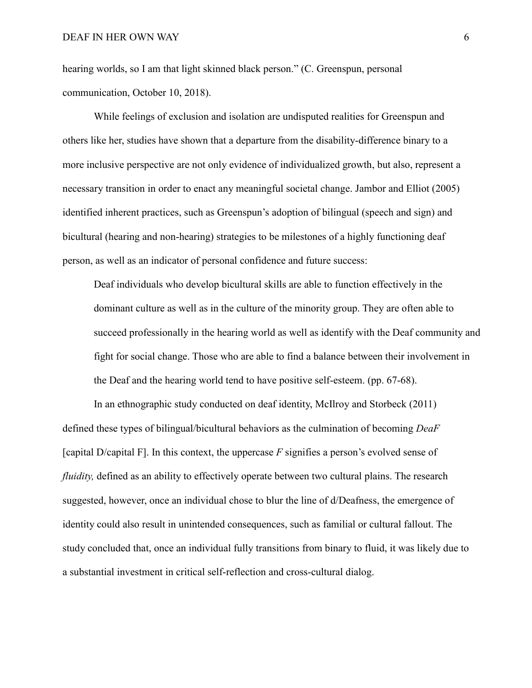hearing worlds, so I am that light skinned black person." (C. Greenspun, personal communication, October 10, 2018).

While feelings of exclusion and isolation are undisputed realities for Greenspun and others like her, studies have shown that a departure from the disability-difference binary to a more inclusive perspective are not only evidence of individualized growth, but also, represent a necessary transition in order to enact any meaningful societal change. Jambor and Elliot (2005) identified inherent practices, such as Greenspun's adoption of bilingual (speech and sign) and bicultural (hearing and non-hearing) strategies to be milestones of a highly functioning deaf person, as well as an indicator of personal confidence and future success:

Deaf individuals who develop bicultural skills are able to function effectively in the dominant culture as well as in the culture of the minority group. They are often able to succeed professionally in the hearing world as well as identify with the Deaf community and fight for social change. Those who are able to find a balance between their involvement in the Deaf and the hearing world tend to have positive self-esteem. (pp. 67-68).

In an ethnographic study conducted on deaf identity, McIlroy and Storbeck (2011) defined these types of bilingual/bicultural behaviors as the culmination of becoming *DeaF* [capital D/capital F]. In this context, the uppercase *F* signifies a person's evolved sense of *fluidity*, defined as an ability to effectively operate between two cultural plains. The research suggested, however, once an individual chose to blur the line of d/Deafness, the emergence of identity could also result in unintended consequences, such as familial or cultural fallout. The study concluded that, once an individual fully transitions from binary to fluid, it was likely due to a substantial investment in critical self-reflection and cross-cultural dialog.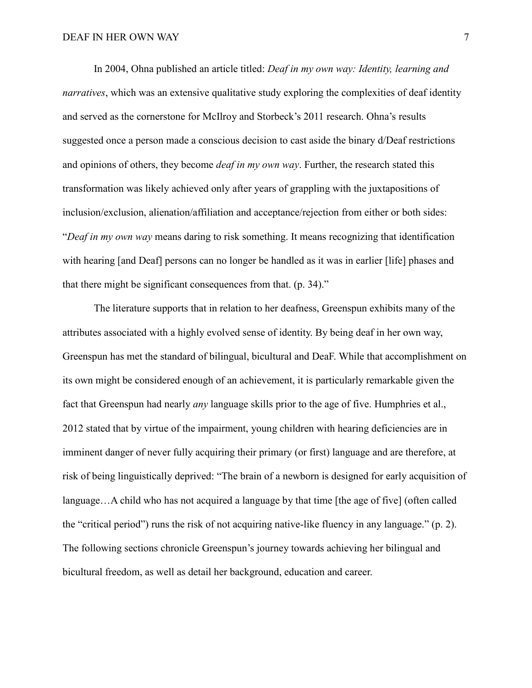In 2004, Ohna published an article titled: *Deaf in my own way: Identity, learning and narratives*, which was an extensive qualitative study exploring the complexities of deaf identity and served as the cornerstone for McIlroy and Storbeck's 2011 research. Ohna's results suggested once a person made a conscious decision to cast aside the binary d/Deaf restrictions and opinions of others, they become *deaf in my own way*. Further, the research stated this transformation was likely achieved only after years of grappling with the juxtapositions of inclusion/exclusion, alienation/affiliation and acceptance/rejection from either or both sides: "*Deaf in my own way* means daring to risk something. It means recognizing that identification with hearing [and Deaf] persons can no longer be handled as it was in earlier [life] phases and that there might be significant consequences from that. (p. 34)."

The literature supports that in relation to her deafness, Greenspun exhibits many of the attributes associated with a highly evolved sense of identity. By being deaf in her own way, Greenspun has met the standard of bilingual, bicultural and DeaF. While that accomplishment on its own might be considered enough of an achievement, it is particularly remarkable given the fact that Greenspun had nearly *any* language skills prior to the age of five. Humphries et al., 2012 stated that by virtue of the impairment, young children with hearing deficiencies are in imminent danger of never fully acquiring their primary (or first) language and are therefore, at risk of being linguistically deprived: "The brain of a newborn is designed for early acquisition of language…A child who has not acquired a language by that time [the age of five] (often called the "critical period") runs the risk of not acquiring native-like fluency in any language." (p. 2). The following sections chronicle Greenspun's journey towards achieving her bilingual and bicultural freedom, as well as detail her background, education and career.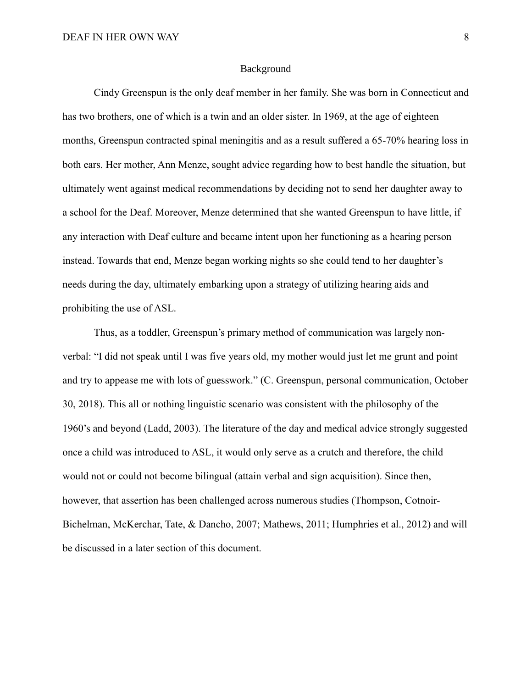#### Background

Cindy Greenspun is the only deaf member in her family. She was born in Connecticut and has two brothers, one of which is a twin and an older sister. In 1969, at the age of eighteen months, Greenspun contracted spinal meningitis and as a result suffered a 65-70% hearing loss in both ears. Her mother, Ann Menze, sought advice regarding how to best handle the situation, but ultimately went against medical recommendations by deciding not to send her daughter away to a school for the Deaf. Moreover, Menze determined that she wanted Greenspun to have little, if any interaction with Deaf culture and became intent upon her functioning as a hearing person instead. Towards that end, Menze began working nights so she could tend to her daughter's needs during the day, ultimately embarking upon a strategy of utilizing hearing aids and prohibiting the use of ASL.

Thus, as a toddler, Greenspun's primary method of communication was largely nonverbal: "I did not speak until I was five years old, my mother would just let me grunt and point and try to appease me with lots of guesswork." (C. Greenspun, personal communication, October 30, 2018). This all or nothing linguistic scenario was consistent with the philosophy of the 1960's and beyond (Ladd, 2003). The literature of the day and medical advice strongly suggested once a child was introduced to ASL, it would only serve as a crutch and therefore, the child would not or could not become bilingual (attain verbal and sign acquisition). Since then, however, that assertion has been challenged across numerous studies (Thompson, Cotnoir-Bichelman, McKerchar, Tate, & Dancho, 2007; Mathews, 2011; Humphries et al., 2012) and will be discussed in a later section of this document.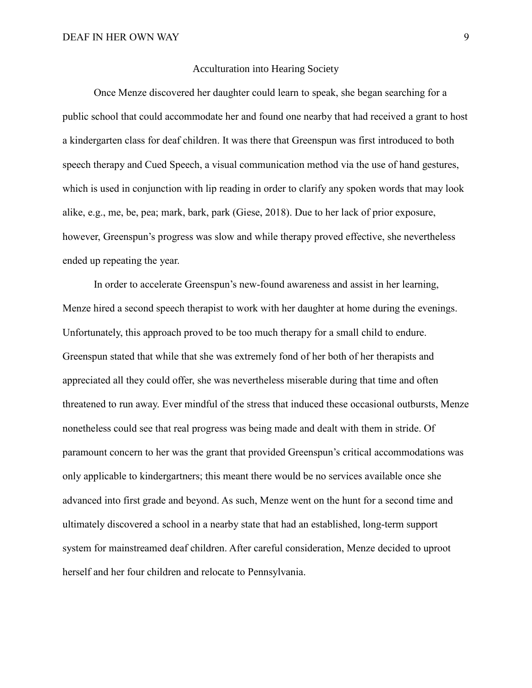# Acculturation into Hearing Society

Once Menze discovered her daughter could learn to speak, she began searching for a public school that could accommodate her and found one nearby that had received a grant to host a kindergarten class for deaf children. It was there that Greenspun was first introduced to both speech therapy and Cued Speech, a visual communication method via the use of hand gestures, which is used in conjunction with lip reading in order to clarify any spoken words that may look alike, e.g., me, be, pea; mark, bark, park (Giese, 2018). Due to her lack of prior exposure, however, Greenspun's progress was slow and while therapy proved effective, she nevertheless ended up repeating the year.

In order to accelerate Greenspun's new-found awareness and assist in her learning, Menze hired a second speech therapist to work with her daughter at home during the evenings. Unfortunately, this approach proved to be too much therapy for a small child to endure. Greenspun stated that while that she was extremely fond of her both of her therapists and appreciated all they could offer, she was nevertheless miserable during that time and often threatened to run away. Ever mindful of the stress that induced these occasional outbursts, Menze nonetheless could see that real progress was being made and dealt with them in stride. Of paramount concern to her was the grant that provided Greenspun's critical accommodations was only applicable to kindergartners; this meant there would be no services available once she advanced into first grade and beyond. As such, Menze went on the hunt for a second time and ultimately discovered a school in a nearby state that had an established, long-term support system for mainstreamed deaf children. After careful consideration, Menze decided to uproot herself and her four children and relocate to Pennsylvania.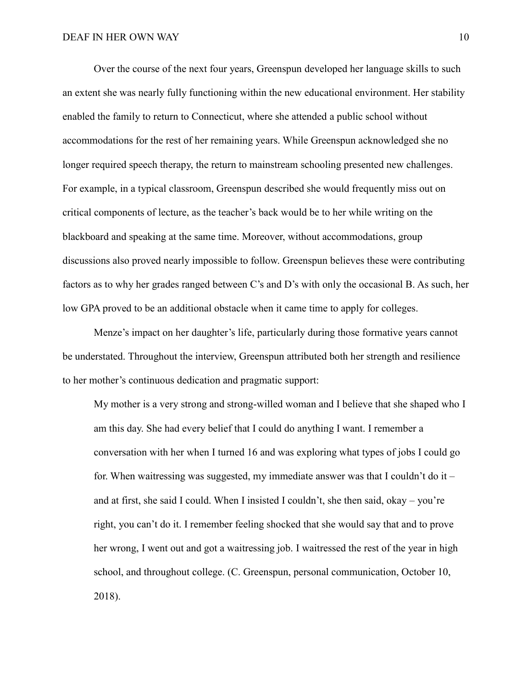Over the course of the next four years, Greenspun developed her language skills to such an extent she was nearly fully functioning within the new educational environment. Her stability enabled the family to return to Connecticut, where she attended a public school without accommodations for the rest of her remaining years. While Greenspun acknowledged she no longer required speech therapy, the return to mainstream schooling presented new challenges. For example, in a typical classroom, Greenspun described she would frequently miss out on critical components of lecture, as the teacher's back would be to her while writing on the blackboard and speaking at the same time. Moreover, without accommodations, group discussions also proved nearly impossible to follow. Greenspun believes these were contributing factors as to why her grades ranged between C's and D's with only the occasional B. As such, her low GPA proved to be an additional obstacle when it came time to apply for colleges.

Menze's impact on her daughter's life, particularly during those formative years cannot be understated. Throughout the interview, Greenspun attributed both her strength and resilience to her mother's continuous dedication and pragmatic support:

My mother is a very strong and strong-willed woman and I believe that she shaped who I am this day. She had every belief that I could do anything I want. I remember a conversation with her when I turned 16 and was exploring what types of jobs I could go for. When waitressing was suggested, my immediate answer was that I couldn't do it – and at first, she said I could. When I insisted I couldn't, she then said, okay – you're right, you can't do it. I remember feeling shocked that she would say that and to prove her wrong, I went out and got a waitressing job. I waitressed the rest of the year in high school, and throughout college. (C. Greenspun, personal communication, October 10, 2018).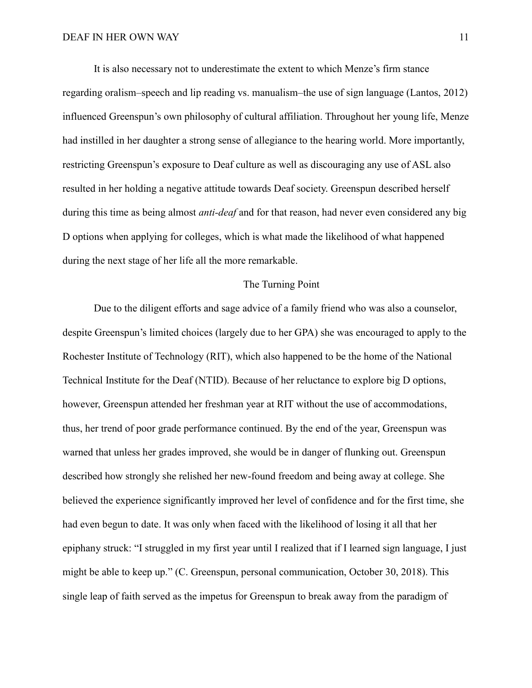It is also necessary not to underestimate the extent to which Menze's firm stance regarding oralism–speech and lip reading vs. manualism–the use of sign language (Lantos, 2012) influenced Greenspun's own philosophy of cultural affiliation. Throughout her young life, Menze had instilled in her daughter a strong sense of allegiance to the hearing world. More importantly, restricting Greenspun's exposure to Deaf culture as well as discouraging any use of ASL also resulted in her holding a negative attitude towards Deaf society. Greenspun described herself during this time as being almost *anti-deaf* and for that reason, had never even considered any big D options when applying for colleges, which is what made the likelihood of what happened during the next stage of her life all the more remarkable.

## The Turning Point

Due to the diligent efforts and sage advice of a family friend who was also a counselor, despite Greenspun's limited choices (largely due to her GPA) she was encouraged to apply to the Rochester Institute of Technology (RIT), which also happened to be the home of the National Technical Institute for the Deaf (NTID). Because of her reluctance to explore big D options, however, Greenspun attended her freshman year at RIT without the use of accommodations, thus, her trend of poor grade performance continued. By the end of the year, Greenspun was warned that unless her grades improved, she would be in danger of flunking out. Greenspun described how strongly she relished her new-found freedom and being away at college. She believed the experience significantly improved her level of confidence and for the first time, she had even begun to date. It was only when faced with the likelihood of losing it all that her epiphany struck: "I struggled in my first year until I realized that if I learned sign language, I just might be able to keep up." (C. Greenspun, personal communication, October 30, 2018). This single leap of faith served as the impetus for Greenspun to break away from the paradigm of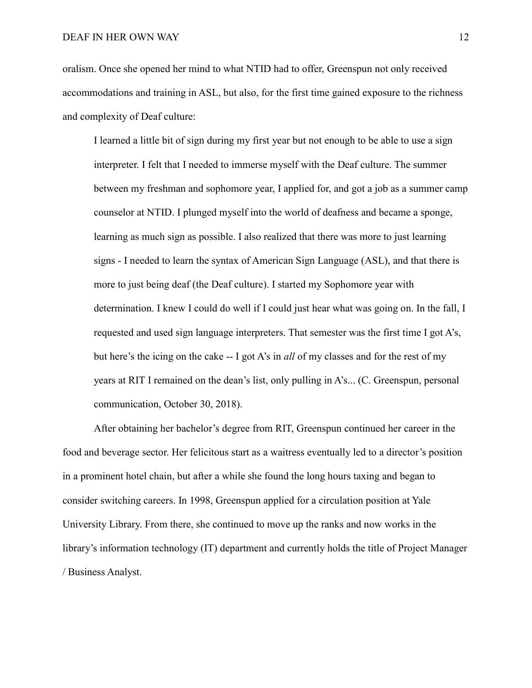oralism. Once she opened her mind to what NTID had to offer, Greenspun not only received accommodations and training in ASL, but also, for the first time gained exposure to the richness and complexity of Deaf culture:

I learned a little bit of sign during my first year but not enough to be able to use a sign interpreter. I felt that I needed to immerse myself with the Deaf culture. The summer between my freshman and sophomore year, I applied for, and got a job as a summer camp counselor at NTID. I plunged myself into the world of deafness and became a sponge, learning as much sign as possible. I also realized that there was more to just learning signs - I needed to learn the syntax of American Sign Language (ASL), and that there is more to just being deaf (the Deaf culture). I started my Sophomore year with determination. I knew I could do well if I could just hear what was going on. In the fall, I requested and used sign language interpreters. That semester was the first time I got A's, but here's the icing on the cake -- I got A's in *all* of my classes and for the rest of my years at RIT I remained on the dean's list, only pulling in A's... (C. Greenspun, personal communication, October 30, 2018).

After obtaining her bachelor's degree from RIT, Greenspun continued her career in the food and beverage sector. Her felicitous start as a waitress eventually led to a director's position in a prominent hotel chain, but after a while she found the long hours taxing and began to consider switching careers. In 1998, Greenspun applied for a circulation position at Yale University Library. From there, she continued to move up the ranks and now works in the library's information technology (IT) department and currently holds the title of Project Manager / Business Analyst.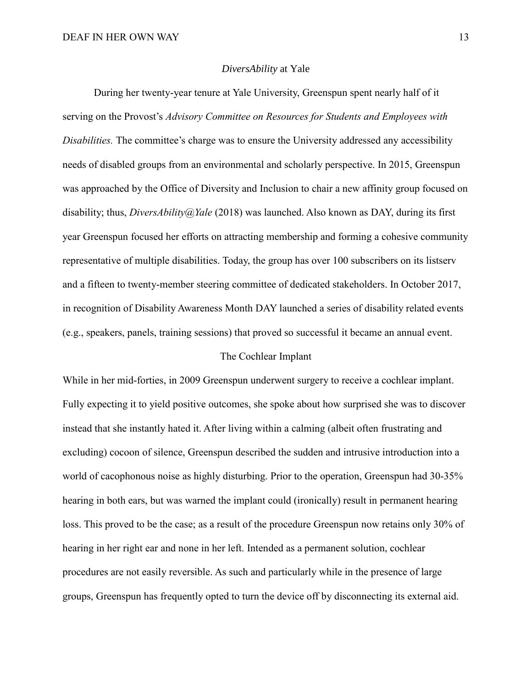### *DiversAbility* at Yale

During her twenty-year tenure at Yale University, Greenspun spent nearly half of it serving on the Provost's *Advisory Committee on Resources for Students and Employees with Disabilities.* The committee's charge was to ensure the University addressed any accessibility needs of disabled groups from an environmental and scholarly perspective. In 2015, Greenspun was approached by the Office of Diversity and Inclusion to chair a new affinity group focused on disability; thus, *DiversAbility@Yale* (2018) was launched. Also known as DAY, during its first year Greenspun focused her efforts on attracting membership and forming a cohesive community representative of multiple disabilities. Today, the group has over 100 subscribers on its listserv and a fifteen to twenty-member steering committee of dedicated stakeholders. In October 2017, in recognition of Disability Awareness Month DAY launched a series of disability related events (e.g., speakers, panels, training sessions) that proved so successful it became an annual event.

# The Cochlear Implant

While in her mid-forties, in 2009 Greenspun underwent surgery to receive a cochlear implant. Fully expecting it to yield positive outcomes, she spoke about how surprised she was to discover instead that she instantly hated it. After living within a calming (albeit often frustrating and excluding) cocoon of silence, Greenspun described the sudden and intrusive introduction into a world of cacophonous noise as highly disturbing. Prior to the operation, Greenspun had 30-35% hearing in both ears, but was warned the implant could (ironically) result in permanent hearing loss. This proved to be the case; as a result of the procedure Greenspun now retains only 30% of hearing in her right ear and none in her left. Intended as a permanent solution, cochlear procedures are not easily reversible. As such and particularly while in the presence of large groups, Greenspun has frequently opted to turn the device off by disconnecting its external aid.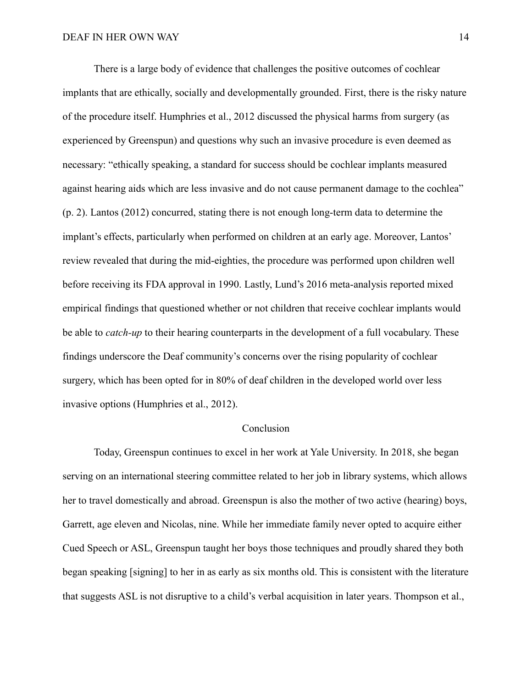There is a large body of evidence that challenges the positive outcomes of cochlear implants that are ethically, socially and developmentally grounded. First, there is the risky nature of the procedure itself. Humphries et al., 2012 discussed the physical harms from surgery (as experienced by Greenspun) and questions why such an invasive procedure is even deemed as necessary: "ethically speaking, a standard for success should be cochlear implants measured against hearing aids which are less invasive and do not cause permanent damage to the cochlea" (p. 2). Lantos (2012) concurred, stating there is not enough long-term data to determine the implant's effects, particularly when performed on children at an early age. Moreover, Lantos' review revealed that during the mid-eighties, the procedure was performed upon children well before receiving its FDA approval in 1990. Lastly, Lund's 2016 meta-analysis reported mixed empirical findings that questioned whether or not children that receive cochlear implants would be able to *catch-up* to their hearing counterparts in the development of a full vocabulary. These findings underscore the Deaf community's concerns over the rising popularity of cochlear surgery, which has been opted for in 80% of deaf children in the developed world over less invasive options (Humphries et al., 2012).

# Conclusion

Today, Greenspun continues to excel in her work at Yale University. In 2018, she began serving on an international steering committee related to her job in library systems, which allows her to travel domestically and abroad. Greenspun is also the mother of two active (hearing) boys, Garrett, age eleven and Nicolas, nine. While her immediate family never opted to acquire either Cued Speech or ASL, Greenspun taught her boys those techniques and proudly shared they both began speaking [signing] to her in as early as six months old. This is consistent with the literature that suggests ASL is not disruptive to a child's verbal acquisition in later years. Thompson et al.,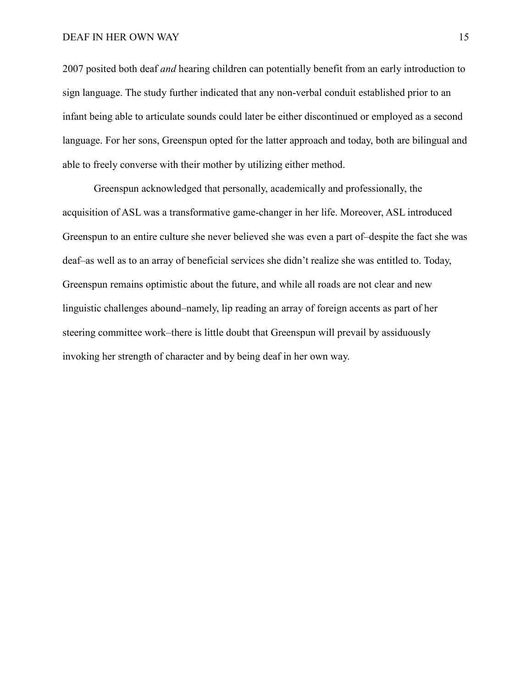### DEAF IN HER OWN WAY 15

2007 posited both deaf *and* hearing children can potentially benefit from an early introduction to sign language. The study further indicated that any non-verbal conduit established prior to an infant being able to articulate sounds could later be either discontinued or employed as a second language. For her sons, Greenspun opted for the latter approach and today, both are bilingual and able to freely converse with their mother by utilizing either method.

Greenspun acknowledged that personally, academically and professionally, the acquisition of ASL was a transformative game-changer in her life. Moreover, ASL introduced Greenspun to an entire culture she never believed she was even a part of–despite the fact she was deaf–as well as to an array of beneficial services she didn't realize she was entitled to. Today, Greenspun remains optimistic about the future, and while all roads are not clear and new linguistic challenges abound–namely, lip reading an array of foreign accents as part of her steering committee work–there is little doubt that Greenspun will prevail by assiduously invoking her strength of character and by being deaf in her own way.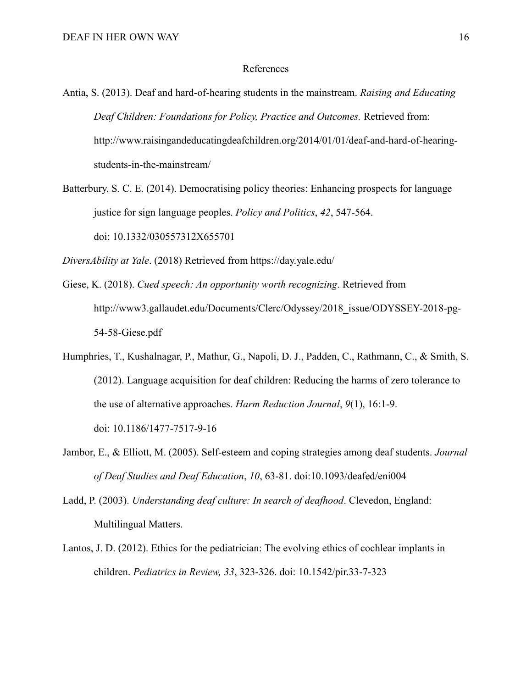### References

Antia, S. (2013). Deaf and hard-of-hearing students in the mainstream. *Raising and Educating Deaf Children: Foundations for Policy, Practice and Outcomes.* Retrieved from: http://www.raisingandeducatingdeafchildren.org/2014/01/01/deaf-and-hard-of-hearingstudents-in-the-mainstream/

- Batterbury, S. C. E. (2014). Democratising policy theories: Enhancing prospects for language justice for sign language peoples. *Policy and Politics*, *42*, 547-564. doi: 10.1332/030557312X655701
- *DiversAbility at Yale*. (2018) Retrieved from<https://day.yale.edu/>
- Giese, K. (2018). *Cued speech: An opportunity worth recognizing*. Retrieved from http://www3.gallaudet.edu/Documents/Clerc/Odyssey/2018\_issue/ODYSSEY-2018-pg-54-58-Giese.pdf
- Humphries, T., Kushalnagar, P., Mathur, G., Napoli, D. J., Padden, C., Rathmann, C., & Smith, S. (2012). Language acquisition for deaf children: Reducing the harms of zero tolerance to the use of alternative approaches. *Harm Reduction Journal*, *9*(1), 16:1-9. doi: 10.1186/1477-7517-9-16
- Jambor, E., & Elliott, M. (2005). Self-esteem and coping strategies among deaf students. *Journal of Deaf Studies and Deaf Education*, *10*, 63-81. doi:10.1093/deafed/eni004
- Ladd, P. (2003). *Understanding deaf culture: In search of deafhood*. Clevedon, England: Multilingual Matters.
- Lantos, J. D. (2012). Ethics for the pediatrician: The evolving ethics of cochlear implants in children. *Pediatrics in Review, 33*, 323-326. doi: 10.1542/pir.33-7-323